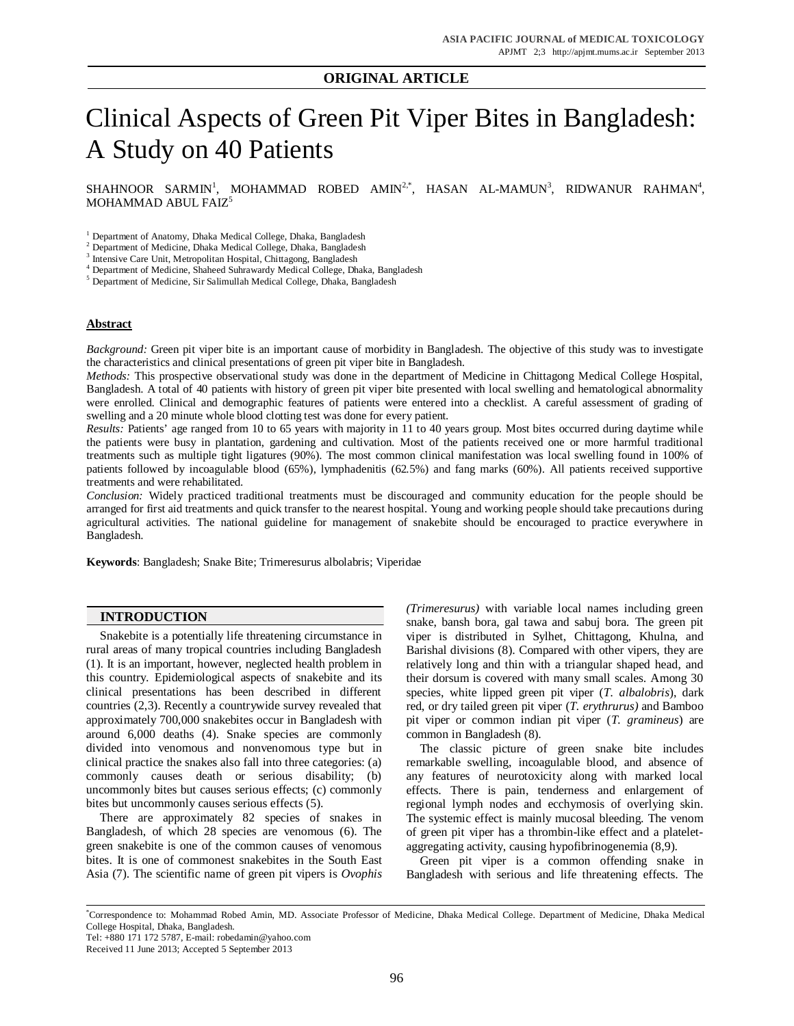# **ORIGINAL ARTICLE**

# Clinical Aspects of Green Pit Viper Bites in Bangladesh: A Study on 40 Patients

SHAHNOOR SARMIN<sup>1</sup>, MOHAMMAD ROBED AMIN<sup>2,\*</sup>, HASAN AL-MAMUN<sup>3</sup>, RIDWANUR RAHMAN<sup>4</sup>, MOHAMMAD ABUL FAIZ<sup>5</sup>

<sup>1</sup> Department of Anatomy, Dhaka Medical College, Dhaka, Bangladesh

<sup>2</sup> Department of Medicine, Dhaka Medical College, Dhaka, Bangladesh

3 Intensive Care Unit, Metropolitan Hospital, Chittagong, Bangladesh

4 Department of Medicine, Shaheed Suhrawardy Medical College, Dhaka, Bangladesh

<sup>5</sup> Department of Medicine, Sir Salimullah Medical College, Dhaka, Bangladesh

#### **Abstract**

*Background:* Green pit viper bite is an important cause of morbidity in Bangladesh. The objective of this study was to investigate the characteristics and clinical presentations of green pit viper bite in Bangladesh.

*Methods:* This prospective observational study was done in the department of Medicine in Chittagong Medical College Hospital, Bangladesh. A total of 40 patients with history of green pit viper bite presented with local swelling and hematological abnormality were enrolled. Clinical and demographic features of patients were entered into a checklist. A careful assessment of grading of swelling and a 20 minute whole blood clotting test was done for every patient.

*Results:* Patients' age ranged from 10 to 65 years with majority in 11 to 40 years group. Most bites occurred during daytime while the patients were busy in plantation, gardening and cultivation. Most of the patients received one or more harmful traditional treatments such as multiple tight ligatures (90%). The most common clinical manifestation was local swelling found in 100% of patients followed by incoagulable blood (65%), lymphadenitis (62.5%) and fang marks (60%). All patients received supportive treatments and were rehabilitated.

*Conclusion:* Widely practiced traditional treatments must be discouraged and community education for the people should be arranged for first aid treatments and quick transfer to the nearest hospital. Young and working people should take precautions during agricultural activities. The national guideline for management of snakebite should be encouraged to practice everywhere in Bangladesh.

**Keywords**: Bangladesh; Snake Bite; Trimeresurus albolabris; Viperidae

## **INTRODUCTION**

Snakebite is a potentially life threatening circumstance in rural areas of many tropical countries including Bangladesh (1). It is an important, however, neglected health problem in this country. Epidemiological aspects of snakebite and its clinical presentations has been described in different countries (2,3). Recently a countrywide survey revealed that approximately 700,000 snakebites occur in Bangladesh with around 6,000 deaths (4). Snake species are commonly divided into venomous and nonvenomous type but in clinical practice the snakes also fall into three categories: (a) commonly causes death or serious disability; (b) uncommonly bites but causes serious effects; (c) commonly bites but uncommonly causes serious effects (5).

There are approximately 82 species of snakes in Bangladesh, of which 28 species are venomous (6). The green snakebite is one of the common causes of venomous bites. It is one of commonest snakebites in the South East Asia (7). The scientific name of green pit vipers is *Ovophis* *(Trimeresurus)* with variable local names including green snake, bansh bora, gal tawa and sabuj bora. The green pit viper is distributed in Sylhet, Chittagong, Khulna, and Barishal divisions (8). Compared with other vipers, they are relatively long and thin with a triangular shaped head, and their dorsum is covered with many small scales. Among 30 species, white lipped green pit viper (*T. albalobris*), dark red, or dry tailed green pit viper (*T. erythrurus)* and Bamboo pit viper or common indian pit viper (*T. gramineus*) are common in Bangladesh (8).

The classic picture of green snake bite includes remarkable swelling, incoagulable blood, and absence of any features of neurotoxicity along with marked local effects. There is pain, tenderness and enlargement of regional lymph nodes and ecchymosis of overlying skin. The systemic effect is mainly mucosal bleeding. The venom of green pit viper has a thrombin-like effect and a plateletaggregating activity, causing hypofibrinogenemia (8,9).

Green pit viper is a common offending snake in Bangladesh with serious and life threatening effects. The

<sup>\*</sup>Correspondence to: Mohammad Robed Amin, MD. Associate Professor of Medicine, Dhaka Medical College. Department of Medicine, Dhaka Medical College Hospital, Dhaka, Bangladesh.

Tel: +880 171 172 5787, E-mail: robedamin@yahoo.com

Received 11 June 2013; Accepted 5 September 2013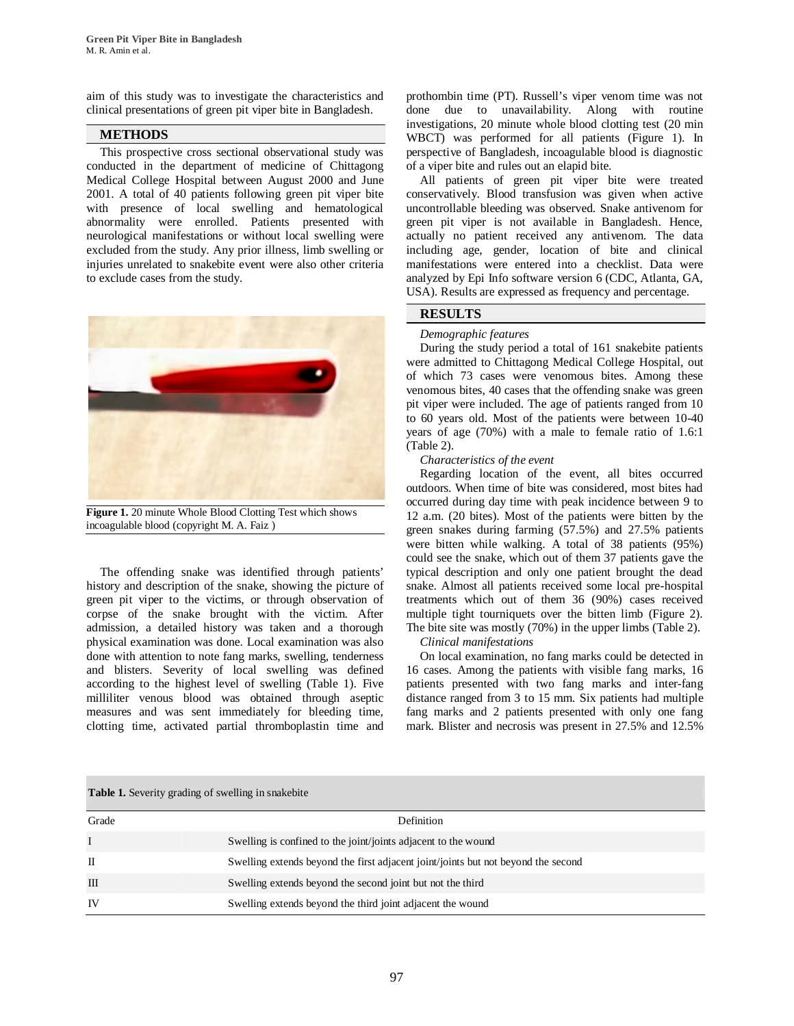aim of this study was to investigate the characteristics and clinical presentations of green pit viper bite in Bangladesh.

# **METHODS**

This prospective cross sectional observational study was conducted in the department of medicine of Chittagong Medical College Hospital between August 2000 and June 2001. A total of 40 patients following green pit viper bite with presence of local swelling and hematological abnormality were enrolled. Patients presented with neurological manifestations or without local swelling were excluded from the study. Any prior illness, limb swelling or injuries unrelated to snakebite event were also other criteria to exclude cases from the study.



**Figure 1.** 20 minute Whole Blood Clotting Test which shows incoagulable blood (copyright M. A. Faiz )

The offending snake was identified through patients' history and description of the snake, showing the picture of green pit viper to the victims, or through observation of corpse of the snake brought with the victim. After admission, a detailed history was taken and a thorough physical examination was done. Local examination was also done with attention to note fang marks, swelling, tenderness and blisters. Severity of local swelling was defined according to the highest level of swelling (Table 1). Five milliliter venous blood was obtained through aseptic measures and was sent immediately for bleeding time, clotting time, activated partial thromboplastin time and

prothombin time (PT). Russell's viper venom time was not done due to unavailability. Along with routine investigations, 20 minute whole blood clotting test (20 min WBCT) was performed for all patients (Figure 1). In perspective of Bangladesh, incoagulable blood is diagnostic of a viper bite and rules out an elapid bite.

All patients of green pit viper bite were treated conservatively. Blood transfusion was given when active uncontrollable bleeding was observed. Snake antivenom for green pit viper is not available in Bangladesh. Hence, actually no patient received any antivenom. The data including age, gender, location of bite and clinical manifestations were entered into a checklist. Data were analyzed by Epi Info software version 6 (CDC, Atlanta, GA, USA). Results are expressed as frequency and percentage.

# **RESULTS**

#### *Demographic features*

During the study period a total of 161 snakebite patients were admitted to Chittagong Medical College Hospital, out of which 73 cases were venomous bites. Among these venomous bites, 40 cases that the offending snake was green pit viper were included. The age of patients ranged from 10 to 60 years old. Most of the patients were between 10-40 years of age (70%) with a male to female ratio of 1.6:1 (Table 2).

#### *Characteristics of the event*

Regarding location of the event, all bites occurred outdoors. When time of bite was considered, most bites had occurred during day time with peak incidence between 9 to 12 a.m. (20 bites). Most of the patients were bitten by the green snakes during farming (57.5%) and 27.5% patients were bitten while walking. A total of 38 patients (95%) could see the snake, which out of them 37 patients gave the typical description and only one patient brought the dead snake. Almost all patients received some local pre-hospital treatments which out of them 36 (90%) cases received multiple tight tourniquets over the bitten limb (Figure 2). The bite site was mostly (70%) in the upper limbs (Table 2).

#### *Clinical manifestations*

On local examination, no fang marks could be detected in 16 cases. Among the patients with visible fang marks, 16 patients presented with two fang marks and inter-fang distance ranged from 3 to 15 mm. Six patients had multiple fang marks and 2 patients presented with only one fang mark. Blister and necrosis was present in 27.5% and 12.5%

# Grade Definition I Swelling is confined to the joint/joints adjacent to the wound II Swelling extends beyond the first adjacent joint/joints but not beyond the second III Swelling extends beyond the second joint but not the third IV Swelling extends beyond the third joint adjacent the wound

**Table 1.** Severity grading of swelling in snakebite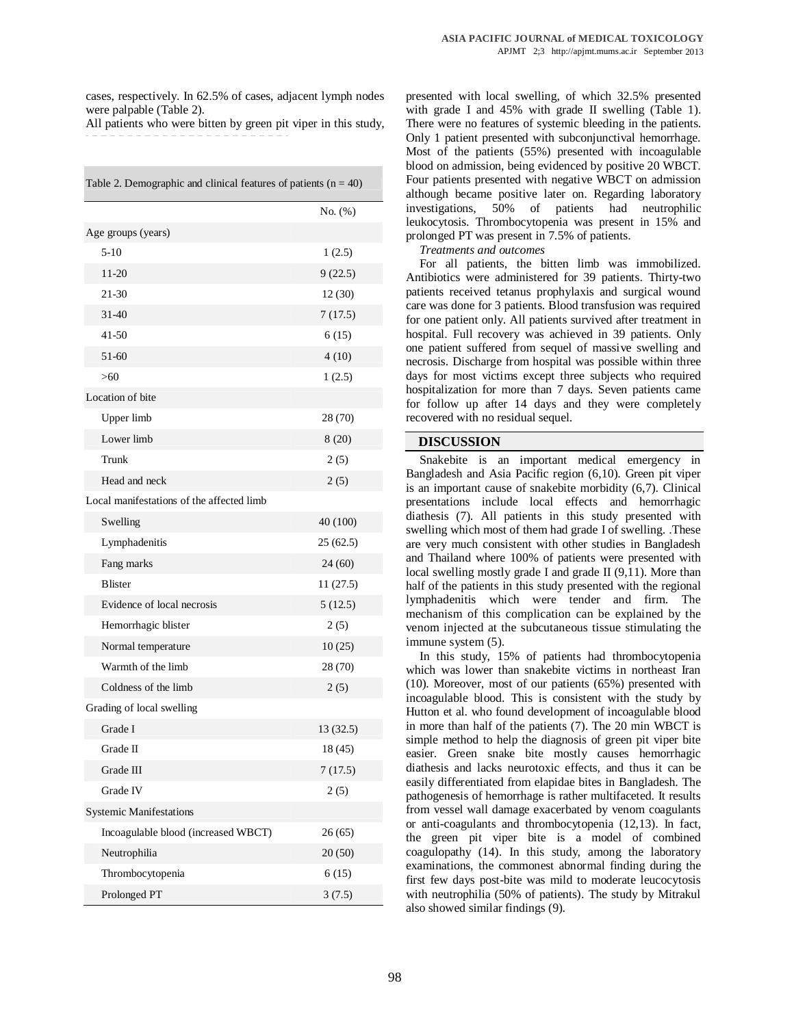cases, respectively. In 62.5% of cases, adjacent lymph nodes were palpable (Table 2).

All patients who were bitten by green pit viper in this study,

| Table 2. Demographic and clinical features of patients $(n = 40)$ |            |
|-------------------------------------------------------------------|------------|
|                                                                   | No. $(\%)$ |
| Age groups (years)                                                |            |
| $5-10$                                                            | 1(2.5)     |
| 11-20                                                             | 9(22.5)    |
| 21-30                                                             | 12(30)     |
| $31-40$                                                           | 7(17.5)    |
| 41-50                                                             | 6(15)      |
| 51-60                                                             | 4(10)      |
| > 60                                                              | 1(2.5)     |
| Location of bite                                                  |            |
| Upper limb                                                        | 28 (70)    |
| Lower limb                                                        | 8(20)      |
| Trunk                                                             | 2(5)       |
| Head and neck                                                     | 2(5)       |
| Local manifestations of the affected limb                         |            |
| Swelling                                                          | 40 (100)   |
| Lymphadenitis                                                     | 25(62.5)   |
| Fang marks                                                        | 24 (60)    |
| <b>Blister</b>                                                    | 11(27.5)   |
| Evidence of local necrosis                                        | 5(12.5)    |
| Hemorrhagic blister                                               | 2(5)       |
| Normal temperature                                                | 10(25)     |
| Warmth of the limb                                                | 28 (70)    |
| Coldness of the limb                                              | 2(5)       |
| Grading of local swelling                                         |            |
| Grade I                                                           | 13 (32.5)  |
| Grade II                                                          | 18 (45)    |
| Grade III                                                         | 7(17.5)    |
| Grade IV                                                          | 2(5)       |
| <b>Systemic Manifestations</b>                                    |            |
| Incoagulable blood (increased WBCT)                               | 26(65)     |
| Neutrophilia                                                      | 20(50)     |
| Thrombocytopenia                                                  | 6(15)      |
| Prolonged PT                                                      | 3(7.5)     |

presented with local swelling, of which 32.5% presented with grade I and 45% with grade II swelling (Table 1). There were no features of systemic bleeding in the patients. Only 1 patient presented with subconjunctival hemorrhage. Most of the patients (55%) presented with incoagulable blood on admission, being evidenced by positive 20 WBCT. Four patients presented with negative WBCT on admission although became positive later on. Regarding laboratory investigations, 50% of patients had neutrophilic leukocytosis. Thrombocytopenia was present in 15% and prolonged PT was present in 7.5% of patients.

*Treatments and outcomes*

For all patients, the bitten limb was immobilized. Antibiotics were administered for 39 patients. Thirty-two patients received tetanus prophylaxis and surgical wound care was done for 3 patients. Blood transfusion was required for one patient only. All patients survived after treatment in hospital. Full recovery was achieved in 39 patients. Only one patient suffered from sequel of massive swelling and necrosis. Discharge from hospital was possible within three days for most victims except three subjects who required hospitalization for more than 7 days. Seven patients came for follow up after 14 days and they were completely recovered with no residual sequel.

#### **DISCUSSION**

Snakebite is an important medical emergency in Bangladesh and Asia Pacific region (6,10). Green pit viper is an important cause of snakebite morbidity (6,7). Clinical presentations include local effects and hemorrhagic diathesis (7). All patients in this study presented with swelling which most of them had grade I of swelling. .These are very much consistent with other studies in Bangladesh and Thailand where 100% of patients were presented with local swelling mostly grade I and grade II (9,11). More than half of the patients in this study presented with the regional lymphadenitis which were tender and firm. The mechanism of this complication can be explained by the venom injected at the subcutaneous tissue stimulating the immune system (5).

In this study, 15% of patients had thrombocytopenia which was lower than snakebite victims in northeast Iran (10). Moreover, most of our patients (65%) presented with incoagulable blood. This is consistent with the study by Hutton et al. who found development of incoagulable blood in more than half of the patients (7). The 20 min WBCT is simple method to help the diagnosis of green pit viper bite easier. Green snake bite mostly causes hemorrhagic diathesis and lacks neurotoxic effects, and thus it can be easily differentiated from elapidae bites in Bangladesh. The pathogenesis of hemorrhage is rather multifaceted. It results from vessel wall damage exacerbated by venom coagulants or anti-coagulants and thrombocytopenia (12,13). In fact, the green pit viper bite is a model of combined coagulopathy (14). In this study, among the laboratory examinations, the commonest abnormal finding during the first few days post-bite was mild to moderate leucocytosis with neutrophilia (50% of patients). The study by Mitrakul also showed similar findings (9).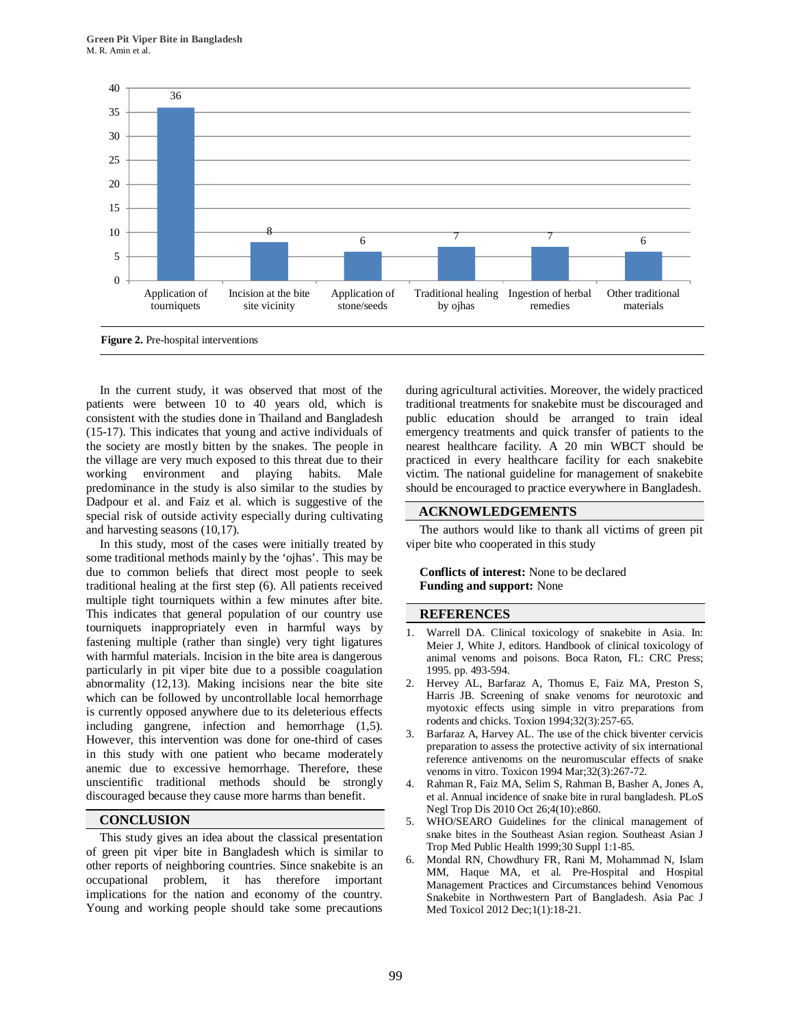

In the current study, it was observed that most of the patients were between 10 to 40 years old, which is consistent with the studies done in Thailand and Bangladesh (15-17). This indicates that young and active individuals of the society are mostly bitten by the snakes. The people in the village are very much exposed to this threat due to their working environment and playing habits. Male predominance in the study is also similar to the studies by Dadpour et al. and Faiz et al. which is suggestive of the special risk of outside activity especially during cultivating and harvesting seasons (10,17).

In this study, most of the cases were initially treated by some traditional methods mainly by the 'ojhas'. This may be due to common beliefs that direct most people to seek traditional healing at the first step (6). All patients received multiple tight tourniquets within a few minutes after bite. This indicates that general population of our country use tourniquets inappropriately even in harmful ways by fastening multiple (rather than single) very tight ligatures with harmful materials. Incision in the bite area is dangerous particularly in pit viper bite due to a possible coagulation abnormality (12,13). Making incisions near the bite site which can be followed by uncontrollable local hemorrhage is currently opposed anywhere due to its deleterious effects including gangrene, infection and hemorrhage (1,5). However, this intervention was done for one-third of cases in this study with one patient who became moderately anemic due to excessive hemorrhage. Therefore, these unscientific traditional methods should be strongly discouraged because they cause more harms than benefit.

## **CONCLUSION**

This study gives an idea about the classical presentation of green pit viper bite in Bangladesh which is similar to other reports of neighboring countries. Since snakebite is an occupational problem, it has therefore important implications for the nation and economy of the country. Young and working people should take some precautions during agricultural activities. Moreover, the widely practiced traditional treatments for snakebite must be discouraged and public education should be arranged to train ideal emergency treatments and quick transfer of patients to the nearest healthcare facility. A 20 min WBCT should be practiced in every healthcare facility for each snakebite victim. The national guideline for management of snakebite should be encouraged to practice everywhere in Bangladesh.

# **ACKNOWLEDGEMENTS**

The authors would like to thank all victims of green pit viper bite who cooperated in this study

#### **Conflicts of interest:** None to be declared **Funding and support:** None

#### **REFERENCES**

- Warrell DA. Clinical toxicology of snakebite in Asia. In: Meier J, White J, editors. Handbook of clinical toxicology of animal venoms and poisons. Boca Raton, FL: CRC Press; 1995. pp. 493-594.
- 2. Hervey AL, Barfaraz A, Thomus E, Faiz MA, Preston S, Harris JB. Screening of snake venoms for neurotoxic and myotoxic effects using simple in vitro preparations from rodents and chicks. Toxion 1994;32(3):257-65.
- 3. Barfaraz A, Harvey AL. The use of the chick biventer cervicis preparation to assess the protective activity of six international reference antivenoms on the neuromuscular effects of snake venoms in vitro. Toxicon 1994 Mar;32(3):267-72.
- 4. Rahman R, Faiz MA, Selim S, Rahman B, Basher A, Jones A, et al. Annual incidence of snake bite in rural bangladesh. PLoS Negl Trop Dis 2010 Oct 26;4(10):e860.
- 5. WHO/SEARO Guidelines for the clinical management of snake bites in the Southeast Asian region. Southeast Asian J Trop Med Public Health 1999;30 Suppl 1:1-85.
- 6. Mondal RN, Chowdhury FR, Rani M, Mohammad N, Islam MM, Haque MA, et al. Pre-Hospital and Hospital Management Practices and Circumstances behind Venomous Snakebite in Northwestern Part of Bangladesh. Asia Pac J Med Toxicol 2012 Dec;1(1):18-21.